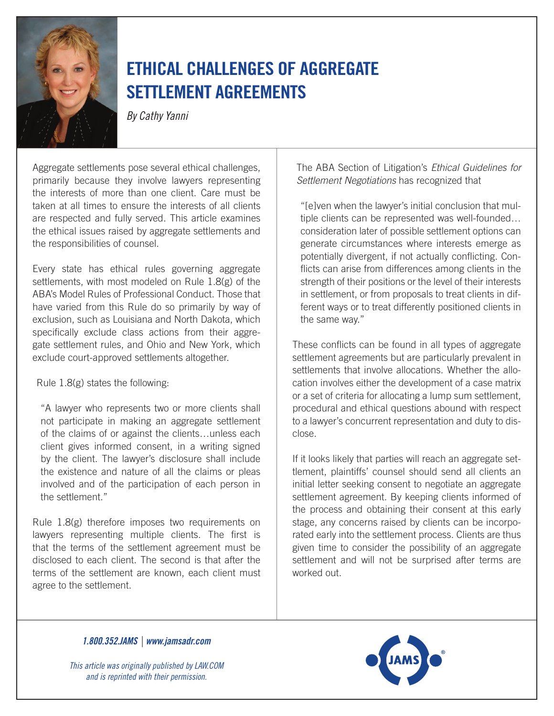

## Ethical Challenges of Aggregate Settlement Agreements

*By Cathy Yanni*

Aggregate settlements pose several ethical challenges, primarily because they involve lawyers representing the interests of more than one client. Care must be taken at all times to ensure the interests of all clients are respected and fully served. This article examines the ethical issues raised by aggregate settlements and the responsibilities of counsel.

Every state has ethical rules governing aggregate settlements, with most modeled on Rule 1.8(g) of the ABA's Model Rules of Professional Conduct. Those that have varied from this Rule do so primarily by way of exclusion, such as Louisiana and North Dakota, which specifically exclude class actions from their aggregate settlement rules, and Ohio and New York, which exclude court-approved settlements altogether.

Rule 1.8(g) states the following:

"A lawyer who represents two or more clients shall not participate in making an aggregate settlement of the claims of or against the clients…unless each client gives informed consent, in a writing signed by the client. The lawyer's disclosure shall include the existence and nature of all the claims or pleas involved and of the participation of each person in the settlement."

Rule 1.8(g) therefore imposes two requirements on lawyers representing multiple clients. The first is that the terms of the settlement agreement must be disclosed to each client. The second is that after the terms of the settlement are known, each client must agree to the settlement.

The ABA Section of Litigation's *Ethical Guidelines for Settlement Negotiations* has recognized that

"[e]ven when the lawyer's initial conclusion that multiple clients can be represented was well-founded… consideration later of possible settlement options can generate circumstances where interests emerge as potentially divergent, if not actually conflicting. Conflicts can arise from differences among clients in the strength of their positions or the level of their interests in settlement, or from proposals to treat clients in different ways or to treat differently positioned clients in the same way."

These conflicts can be found in all types of aggregate settlement agreements but are particularly prevalent in settlements that involve allocations. Whether the allocation involves either the development of a case matrix or a set of criteria for allocating a lump sum settlement, procedural and ethical questions abound with respect to a lawyer's concurrent representation and duty to disclose.

If it looks likely that parties will reach an aggregate settlement, plaintiffs' counsel should send all clients an initial letter seeking consent to negotiate an aggregate settlement agreement. By keeping clients informed of the process and obtaining their consent at this early stage, any concerns raised by clients can be incorporated early into the settlement process. Clients are thus given time to consider the possibility of an aggregate settlement and will not be surprised after terms are worked out.

*1.800.352.JAMS | www.jamsadr.com*

*This article was originally published by LAW.COM and is reprinted with their permission.*